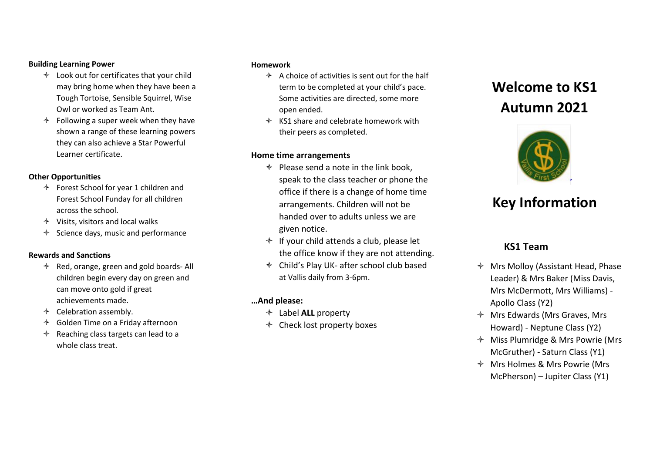#### **Building Learning Power**

- Look out for certificates that your child may bring home when they have been a Tough Tortoise, Sensible Squirrel, Wise Owl or worked as Team Ant.
- $\triangleleft$  Following a super week when they have shown a range of these learning powers they can also achieve a Star Powerful Learner certificate.

#### **Other Opportunities**

- Forest School for year 1 children and Forest School Funday for all children across the school.
- $\triangleleft$  Visits, visitors and local walks
- $\triangleq$  Science days, music and performance

#### **Rewards and Sanctions**

- $\triangleq$  Red, orange, green and gold boards- All children begin every day on green and can move onto gold if great achievements made.
- $\triangleleft$  Celebration assembly.
- Golden Time on a Friday afternoon
- $\triangleleft$  Reaching class targets can lead to a whole class treat.

#### **Homework**

- $\triangle$  A choice of activities is sent out for the half term to be completed at your child's pace. Some activities are directed, some more open ended.
- $\textcolor{blue}{\bigstar}$  KS1 share and celebrate homework with their peers as completed.

#### **Home time arrangements**

- $\triangleq$  Please send a note in the link book. speak to the class teacher or phone the office if there is a change of home time arrangements. Children will not be handed over to adults unless we are given notice.
- $\triangleq$  If your child attends a club, please let the office know if they are not attending.
- Child's Play UK- after school club based at Vallis daily from 3-6pm.

## **…And please:**

- Label **ALL** property
- $\triangleq$  Check lost property boxes

# **Welcome to KS1 Autumn 2021**



# **Key Information**

# **KS1 Team**

- $\triangleq$  Mrs Molloy (Assistant Head, Phase Leader) & Mrs Baker (Miss Davis, Mrs McDermott, Mrs Williams) - Apollo Class (Y2)
- Mrs Edwards (Mrs Graves, Mrs Howard) - Neptune Class (Y2)
- Miss Plumridge & Mrs Powrie (Mrs McGruther) - Saturn Class (Y1)
- Mrs Holmes & Mrs Powrie (Mrs McPherson) – Jupiter Class (Y1)